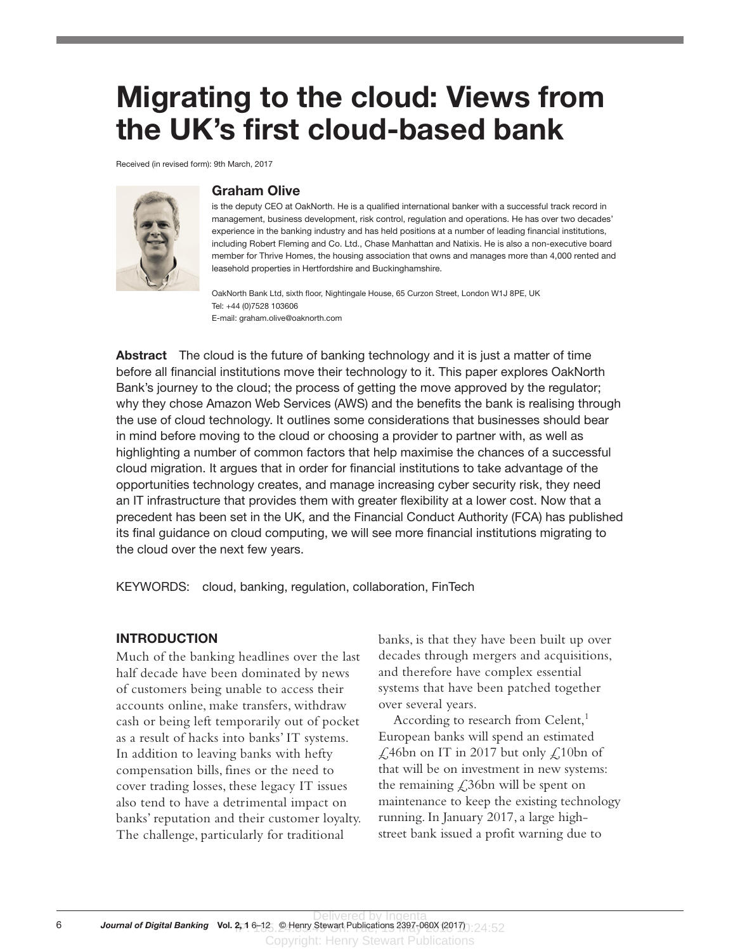# Migrating to the cloud: Views from the UK's first cloud-based bank

Received (in revised form): 9th March, 2017



#### Graham Olive

is the deputy CEO at OakNorth. He is a qualified international banker with a successful track record in management, business development, risk control, regulation and operations. He has over two decades' experience in the banking industry and has held positions at a number of leading financial institutions, including Robert Fleming and Co. Ltd., Chase Manhattan and Natixis. He is also a non-executive board member for Thrive Homes, the housing association that owns and manages more than 4,000 rented and leasehold properties in Hertfordshire and Buckinghamshire.

OakNorth Bank Ltd, sixth floor, Nightingale House, 65 Curzon Street, London W1J 8PE, UK Tel: +44 (0)7528 103606 E-mail: graham.olive@oaknorth.com

Abstract The cloud is the future of banking technology and it is just a matter of time before all financial institutions move their technology to it. This paper explores OakNorth Bank's journey to the cloud; the process of getting the move approved by the regulator; why they chose Amazon Web Services (AWS) and the benefits the bank is realising through the use of cloud technology. It outlines some considerations that businesses should bear in mind before moving to the cloud or choosing a provider to partner with, as well as highlighting a number of common factors that help maximise the chances of a successful cloud migration. It argues that in order for financial institutions to take advantage of the opportunities technology creates, and manage increasing cyber security risk, they need an IT infrastructure that provides them with greater flexibility at a lower cost. Now that a precedent has been set in the UK, and the Financial Conduct Authority (FCA) has published its final guidance on cloud computing, we will see more financial institutions migrating to the cloud over the next few years.

KEYWORDS: cloud, banking, regulation, collaboration, FinTech

#### **INTRODUCTION**

Much of the banking headlines over the last half decade have been dominated by news of customers being unable to access their accounts online, make transfers, withdraw cash or being left temporarily out of pocket as a result of hacks into banks' IT systems. In addition to leaving banks with hefty compensation bills, fines or the need to cover trading losses, these legacy IT issues also tend to have a detrimental impact on banks' reputation and their customer loyalty. The challenge, particularly for traditional

banks, is that they have been built up over decades through mergers and acquisitions, and therefore have complex essential systems that have been patched together over several years.

According to research from Celent,<sup>1</sup> European banks will spend an estimated  $\angle$  46bn on IT in 2017 but only  $\angle$  10bn of that will be on investment in new systems: the remaining  $\angle$ 36bn will be spent on maintenance to keep the existing technology running. In January 2017, a large highstreet bank issued a profit warning due to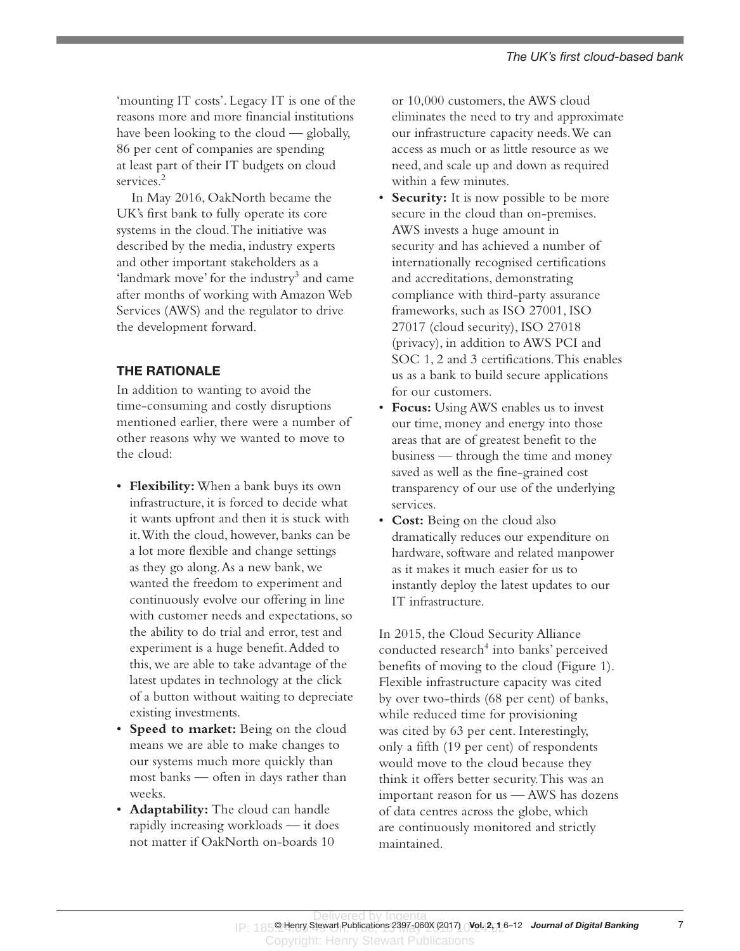'mounting IT costs'. Legacy IT is one of the reasons more and more financial institutions have been looking to the cloud — globally, 86 per cent of companies are spending at least part of their IT budgets on cloud services.<sup>2</sup>

In May 2016, OakNorth became the UK's first bank to fully operate its core systems in the cloud. The initiative was described by the media, industry experts and other important stakeholders as a 'landmark move' for the industry<sup>3</sup> and came after months of working with Amazon Web Services (AWS) and the regulator to drive the development forward.

## THE RATIONALE

In addition to wanting to avoid the time-consuming and costly disruptions mentioned earlier, there were a number of other reasons why we wanted to move to the cloud:

- • **Flexibility:** When a bank buys its own infrastructure, it is forced to decide what it wants upfront and then it is stuck with it. With the cloud, however, banks can be a lot more flexible and change settings as they go along. As a new bank, we wanted the freedom to experiment and continuously evolve our offering in line with customer needs and expectations, so the ability to do trial and error, test and experiment is a huge benefit. Added to this, we are able to take advantage of the latest updates in technology at the click of a button without waiting to depreciate existing investments.
- • **Speed to market:** Being on the cloud means we are able to make changes to our systems much more quickly than most banks — often in days rather than weeks.
- • **Adaptability:** The cloud can handle rapidly increasing workloads — it does not matter if OakNorth on-boards 10

or 10,000 customers, the AWS cloud eliminates the need to try and approximate our infrastructure capacity needs. We can access as much or as little resource as we need, and scale up and down as required within a few minutes.

- • **Security:** It is now possible to be more secure in the cloud than on-premises. AWS invests a huge amount in security and has achieved a number of internationally recognised certifications and accreditations, demonstrating compliance with third-party assurance frameworks, such as ISO 27001, ISO 27017 (cloud security), ISO 27018 (privacy), in addition to AWS PCI and SOC 1, 2 and 3 certifications. This enables us as a bank to build secure applications for our customers.
- • **Focus:** Using AWS enables us to invest our time, money and energy into those areas that are of greatest benefit to the business — through the time and money saved as well as the fine-grained cost transparency of our use of the underlying services.
- • **Cost:** Being on the cloud also dramatically reduces our expenditure on hardware, software and related manpower as it makes it much easier for us to instantly deploy the latest updates to our IT infrastructure.

In 2015, the Cloud Security Alliance conducted research<sup>4</sup> into banks' perceived benefits of moving to the cloud (Figure 1). Flexible infrastructure capacity was cited by over two-thirds (68 per cent) of banks, while reduced time for provisioning was cited by 63 per cent. Interestingly, only a fifth (19 per cent) of respondents would move to the cloud because they think it offers better security. This was an important reason for us — AWS has dozens of data centres across the globe, which are continuously monitored and strictly maintained.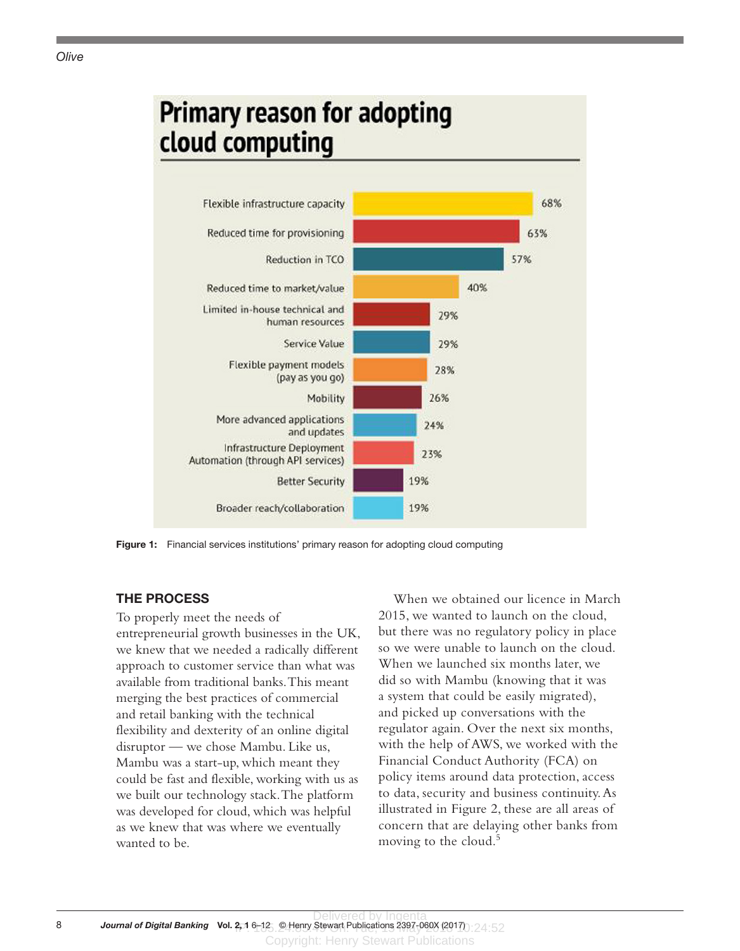

Figure 1: Financial services institutions' primary reason for adopting cloud computing

### THE PROCESS

To properly meet the needs of entrepreneurial growth businesses in the UK, we knew that we needed a radically different approach to customer service than what was available from traditional banks. This meant merging the best practices of commercial and retail banking with the technical flexibility and dexterity of an online digital disruptor — we chose Mambu. Like us, Mambu was a start-up, which meant they could be fast and flexible, working with us as we built our technology stack. The platform was developed for cloud, which was helpful as we knew that was where we eventually wanted to be.

When we obtained our licence in March 2015, we wanted to launch on the cloud, but there was no regulatory policy in place so we were unable to launch on the cloud. When we launched six months later, we did so with Mambu (knowing that it was a system that could be easily migrated), and picked up conversations with the regulator again. Over the next six months, with the help of AWS, we worked with the Financial Conduct Authority (FCA) on policy items around data protection, access to data, security and business continuity. As illustrated in Figure 2, these are all areas of concern that are delaying other banks from moving to the cloud.<sup>5</sup>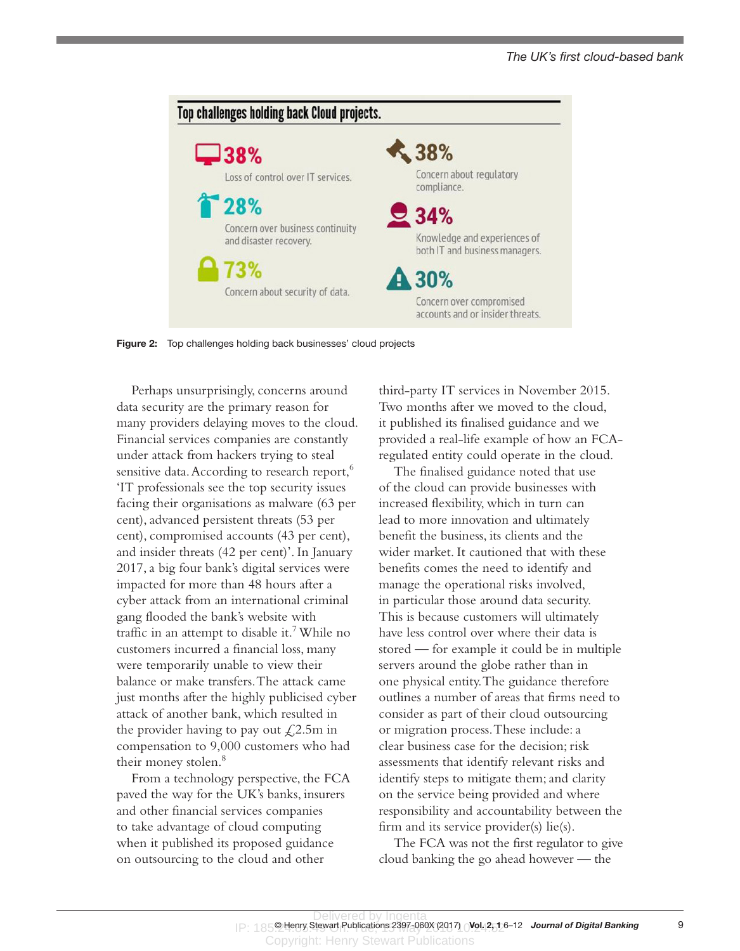

Figure 2: Top challenges holding back businesses' cloud projects

Perhaps unsurprisingly, concerns around data security are the primary reason for many providers delaying moves to the cloud. Financial services companies are constantly under attack from hackers trying to steal sensitive data. According to research report,<sup>6</sup> 'IT professionals see the top security issues facing their organisations as malware (63 per cent), advanced persistent threats (53 per cent), compromised accounts (43 per cent), and insider threats (42 per cent)'. In January 2017, a big four bank's digital services were impacted for more than 48 hours after a cyber attack from an international criminal gang flooded the bank's website with traffic in an attempt to disable it.<sup>7</sup> While no customers incurred a financial loss, many were temporarily unable to view their balance or make transfers. The attack came just months after the highly publicised cyber attack of another bank, which resulted in the provider having to pay out  $\angle 2.5m$  in compensation to 9,000 customers who had their money stolen.<sup>8</sup>

From a technology perspective, the FCA paved the way for the UK's banks, insurers and other financial services companies to take advantage of cloud computing when it published its proposed guidance on outsourcing to the cloud and other

third-party IT services in November 2015. Two months after we moved to the cloud, it published its finalised guidance and we provided a real-life example of how an FCAregulated entity could operate in the cloud.

The finalised guidance noted that use of the cloud can provide businesses with increased flexibility, which in turn can lead to more innovation and ultimately benefit the business, its clients and the wider market. It cautioned that with these benefits comes the need to identify and manage the operational risks involved, in particular those around data security. This is because customers will ultimately have less control over where their data is stored — for example it could be in multiple servers around the globe rather than in one physical entity. The guidance therefore outlines a number of areas that firms need to consider as part of their cloud outsourcing or migration process. These include: a clear business case for the decision; risk assessments that identify relevant risks and identify steps to mitigate them; and clarity on the service being provided and where responsibility and accountability between the firm and its service provider(s) lie(s).

The FCA was not the first regulator to give cloud banking the go ahead however — the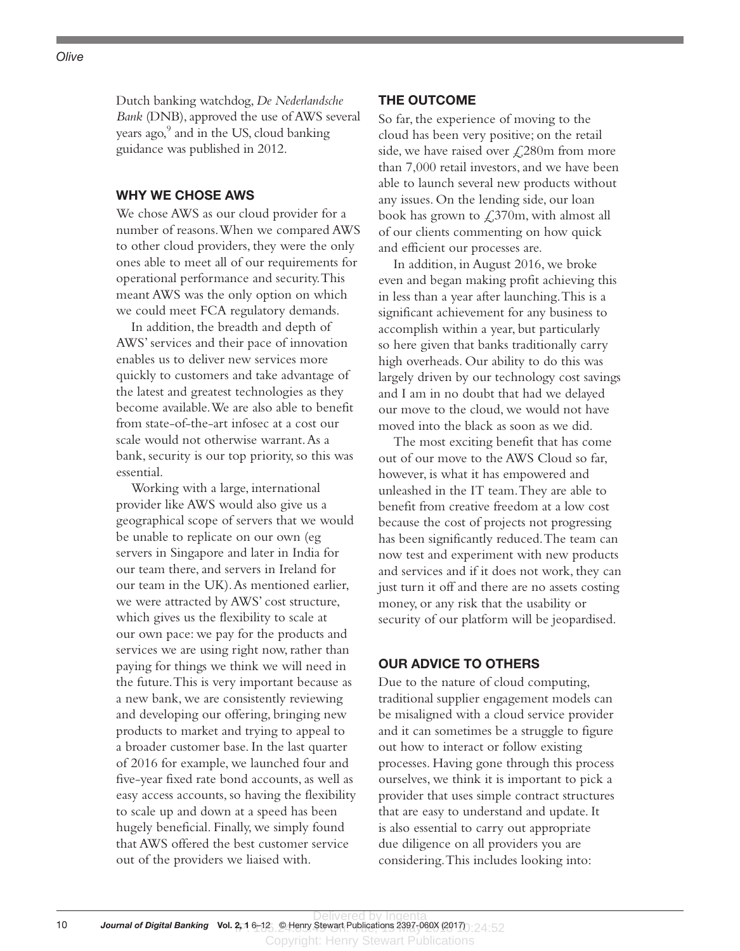# Dutch banking watchdog, *De Nederlandsche Bank* (DNB), approved the use of AWS several years ago,<sup>9</sup> and in the US, cloud banking

guidance was published in 2012.

## WHY WE CHOSE AWS

We chose AWS as our cloud provider for a number of reasons. When we compared AWS to other cloud providers, they were the only ones able to meet all of our requirements for operational performance and security. This meant AWS was the only option on which we could meet FCA regulatory demands.

In addition, the breadth and depth of AWS' services and their pace of innovation enables us to deliver new services more quickly to customers and take advantage of the latest and greatest technologies as they become available. We are also able to benefit from state-of-the-art infosec at a cost our scale would not otherwise warrant. As a bank, security is our top priority, so this was essential.

Working with a large, international provider like AWS would also give us a geographical scope of servers that we would be unable to replicate on our own (eg servers in Singapore and later in India for our team there, and servers in Ireland for our team in the UK). As mentioned earlier, we were attracted by AWS' cost structure, which gives us the flexibility to scale at our own pace: we pay for the products and services we are using right now, rather than paying for things we think we will need in the future. This is very important because as a new bank, we are consistently reviewing and developing our offering, bringing new products to market and trying to appeal to a broader customer base. In the last quarter of 2016 for example, we launched four and five-year fixed rate bond accounts, as well as easy access accounts, so having the flexibility to scale up and down at a speed has been hugely beneficial. Finally, we simply found that AWS offered the best customer service out of the providers we liaised with.

#### THE OUTCOME

So far, the experience of moving to the cloud has been very positive; on the retail side, we have raised over  $\text{\textsterling}280m$  from more than 7,000 retail investors, and we have been able to launch several new products without any issues. On the lending side, our loan book has grown to  $\text{\textsterling}370m$ , with almost all of our clients commenting on how quick and efficient our processes are.

In addition, in August 2016, we broke even and began making profit achieving this in less than a year after launching. This is a significant achievement for any business to accomplish within a year, but particularly so here given that banks traditionally carry high overheads. Our ability to do this was largely driven by our technology cost savings and I am in no doubt that had we delayed our move to the cloud, we would not have moved into the black as soon as we did.

The most exciting benefit that has come out of our move to the AWS Cloud so far, however, is what it has empowered and unleashed in the IT team. They are able to benefit from creative freedom at a low cost because the cost of projects not progressing has been significantly reduced. The team can now test and experiment with new products and services and if it does not work, they can just turn it off and there are no assets costing money, or any risk that the usability or security of our platform will be jeopardised.

### OUR ADVICE TO OTHERS

Due to the nature of cloud computing, traditional supplier engagement models can be misaligned with a cloud service provider and it can sometimes be a struggle to figure out how to interact or follow existing processes. Having gone through this process ourselves, we think it is important to pick a provider that uses simple contract structures that are easy to understand and update. It is also essential to carry out appropriate due diligence on all providers you are considering. This includes looking into: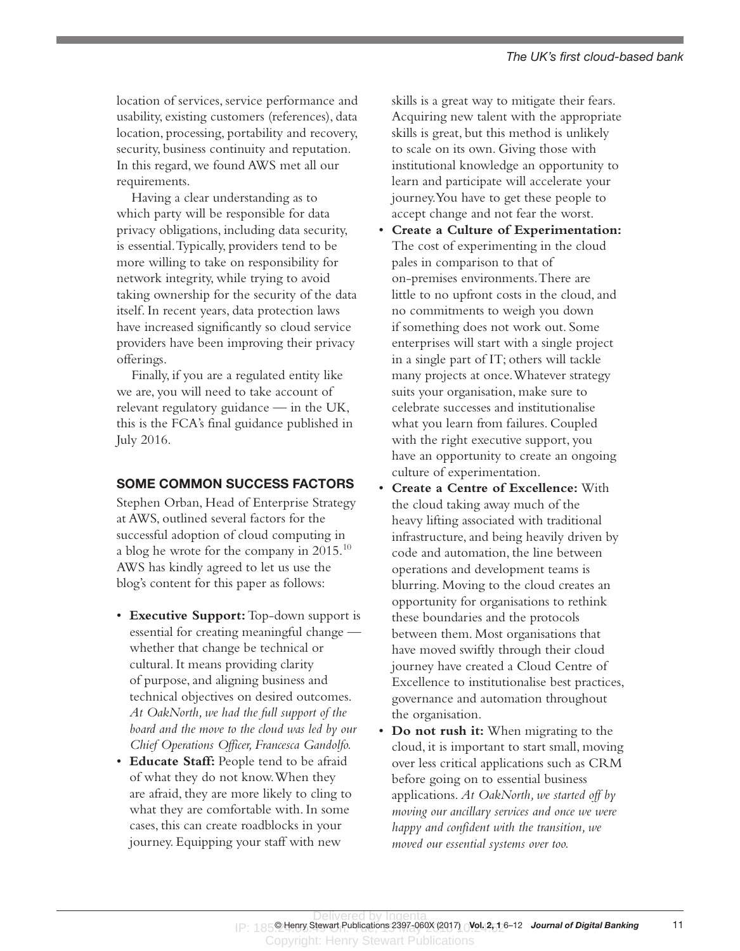location of services, service performance and usability, existing customers (references), data location, processing, portability and recovery, security, business continuity and reputation. In this regard, we found AWS met all our requirements.

Having a clear understanding as to which party will be responsible for data privacy obligations, including data security, is essential. Typically, providers tend to be more willing to take on responsibility for network integrity, while trying to avoid taking ownership for the security of the data itself. In recent years, data protection laws have increased significantly so cloud service providers have been improving their privacy offerings.

Finally, if you are a regulated entity like we are, you will need to take account of relevant regulatory guidance — in the UK, this is the FCA's final guidance published in July 2016.

### SOME COMMON SUCCESS FACTORS

Stephen Orban, Head of Enterprise Strategy at AWS, outlined several factors for the successful adoption of cloud computing in a blog he wrote for the company in  $2015.^{10}$ AWS has kindly agreed to let us use the blog's content for this paper as follows:

- • **Executive Support:** Top-down support is essential for creating meaningful change whether that change be technical or cultural. It means providing clarity of purpose, and aligning business and technical objectives on desired outcomes. *At OakNorth, we had the full support of the board and the move to the cloud was led by our Chief Operations Officer, Francesca Gandolfo.*
- • **Educate Staff:** People tend to be afraid of what they do not know. When they are afraid, they are more likely to cling to what they are comfortable with. In some cases, this can create roadblocks in your journey. Equipping your staff with new

skills is a great way to mitigate their fears. Acquiring new talent with the appropriate skills is great, but this method is unlikely to scale on its own. Giving those with institutional knowledge an opportunity to learn and participate will accelerate your journey. You have to get these people to accept change and not fear the worst.

- • **Create a Culture of Experimentation:**  The cost of experimenting in the cloud pales in comparison to that of on-premises environments. There are little to no upfront costs in the cloud, and no commitments to weigh you down if something does not work out. Some enterprises will start with a single project in a single part of IT; others will tackle many projects at once. Whatever strategy suits your organisation, make sure to celebrate successes and institutionalise what you learn from failures. Coupled with the right executive support, you have an opportunity to create an ongoing culture of experimentation.
- • **Create a Centre of Excellence:** With the cloud taking away much of the heavy lifting associated with traditional infrastructure, and being heavily driven by code and automation, the line between operations and development teams is blurring. Moving to the cloud creates an opportunity for organisations to rethink these boundaries and the protocols between them. Most organisations that have moved swiftly through their cloud journey have created a Cloud Centre of Excellence to institutionalise best practices, governance and automation throughout the organisation.
- **Do not rush it:** When migrating to the cloud, it is important to start small, moving over less critical applications such as CRM before going on to essential business applications. *At OakNorth, we started off by moving our ancillary services and once we were happy and confident with the transition, we moved our essential systems over too.*